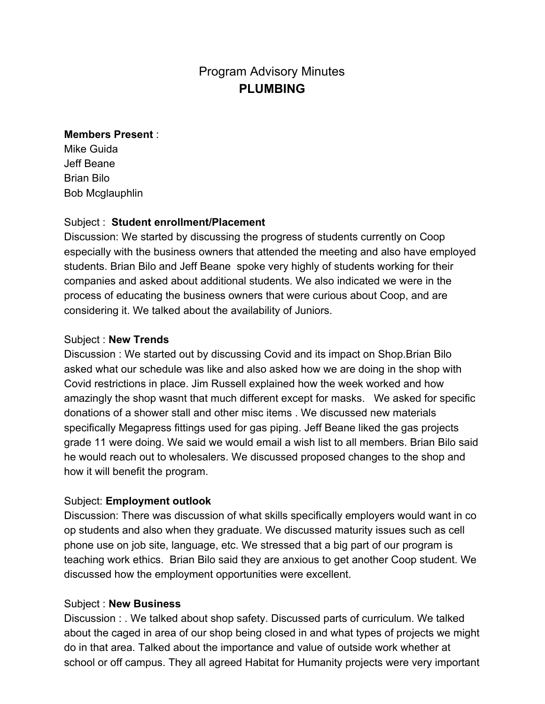# Program Advisory Minutes **PLUMBING**

#### **Members Present** :

Mike Guida Jeff Beane Brian Bilo Bob Mcglauphlin

## Subject : **Student enrollment/Placement**

Discussion: We started by discussing the progress of students currently on Coop especially with the business owners that attended the meeting and also have employed students. Brian Bilo and Jeff Beane spoke very highly of students working for their companies and asked about additional students. We also indicated we were in the process of educating the business owners that were curious about Coop, and are considering it. We talked about the availability of Juniors.

## Subject : **New Trends**

Discussion : We started out by discussing Covid and its impact on Shop.Brian Bilo asked what our schedule was like and also asked how we are doing in the shop with Covid restrictions in place. Jim Russell explained how the week worked and how amazingly the shop wasnt that much different except for masks. We asked for specific donations of a shower stall and other misc items . We discussed new materials specifically Megapress fittings used for gas piping. Jeff Beane liked the gas projects grade 11 were doing. We said we would email a wish list to all members. Brian Bilo said he would reach out to wholesalers. We discussed proposed changes to the shop and how it will benefit the program.

## Subject: **Employment outlook**

Discussion: There was discussion of what skills specifically employers would want in co op students and also when they graduate. We discussed maturity issues such as cell phone use on job site, language, etc. We stressed that a big part of our program is teaching work ethics. Brian Bilo said they are anxious to get another Coop student. We discussed how the employment opportunities were excellent.

#### Subject : **New Business**

Discussion : . We talked about shop safety. Discussed parts of curriculum. We talked about the caged in area of our shop being closed in and what types of projects we might do in that area. Talked about the importance and value of outside work whether at school or off campus. They all agreed Habitat for Humanity projects were very important